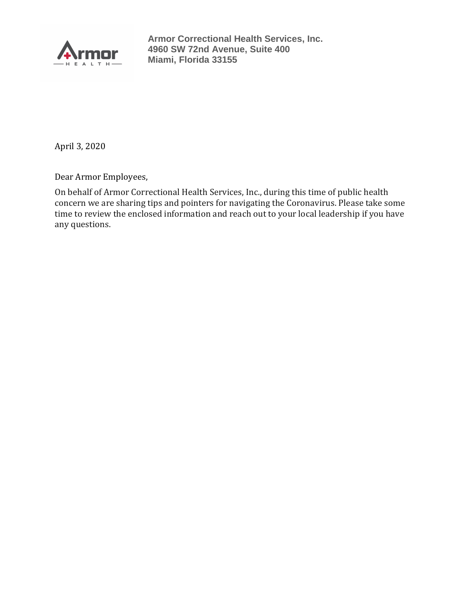

**Armor Correctional Health Services, Inc. 4960 SW 72nd Avenue, Suite 400 Miami, Florida 33155**

April 3, 2020

Dear Armor Employees,

On behalf of Armor Correctional Health Services, Inc., during this time of public health concern we are sharing tips and pointers for navigating the Coronavirus. Please take some time to review the enclosed information and reach out to your local leadership if you have any questions.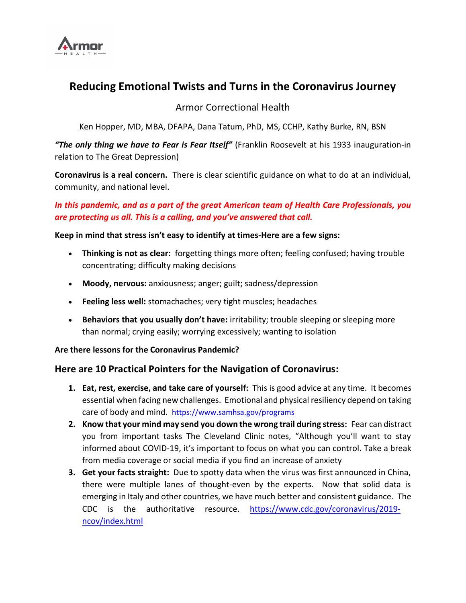

# **Reducing Emotional Twists and Turns in the Coronavirus Journey**

## Armor Correctional Health

Ken Hopper, MD, MBA, DFAPA, Dana Tatum, PhD, MS, CCHP, Kathy Burke, RN, BSN

*"The only thing we have to Fear is Fear Itself"* (Franklin Roosevelt at his 1933 inauguration-in relation to The Great Depression)

**Coronavirus is a real concern.** There is clear scientific guidance on what to do at an individual, community, and national level.

## *In this pandemic, and as a part of the great American team of Health Care Professionals, you are protecting us all. This is a calling, and you've answered that call.*

#### **Keep in mind that stress isn't easy to identify at times-Here are a few signs:**

- **Thinking is not as clear:** forgetting things more often; feeling confused; having trouble concentrating; difficulty making decisions
- **Moody, nervous:** anxiousness; anger; guilt; sadness/depression
- **Feeling less well:** stomachaches; very tight muscles; headaches
- **Behaviors that you usually don't have:** irritability; trouble sleeping or sleeping more than normal; crying easily; worrying excessively; wanting to isolation

#### **Are there lessons for the Coronavirus Pandemic?**

### **Here are 10 Practical Pointers for the Navigation of Coronavirus:**

- **1. Eat, rest, exercise, and take care of yourself:** This is good advice at any time. It becomes essential when facing new challenges. Emotional and physical resiliency depend on taking care of body and mind. https://www.samhsa.gov/programs
- **2. Know that your mind may send you down the wrong trail during stress:** Fear can distract you from important tasks The Cleveland Clinic notes, "Although you'll want to stay informed about COVID-19, it's important to focus on what you can control. Take a break from media coverage or social media if you find an increase of anxiety
- **3. Get your facts straight:** Due to spotty data when the virus was first announced in China, there were multiple lanes of thought-even by the experts. Now that solid data is emerging in Italy and other countries, we have much better and consistent guidance. The CDC is the authoritative resource. ht[tps://www.cdc.gov/coronavirus/2019](https://www.cdc.gov/coronavirus/2019-ncov/index.html) [ncov/index.html](https://www.cdc.gov/coronavirus/2019-ncov/index.html)